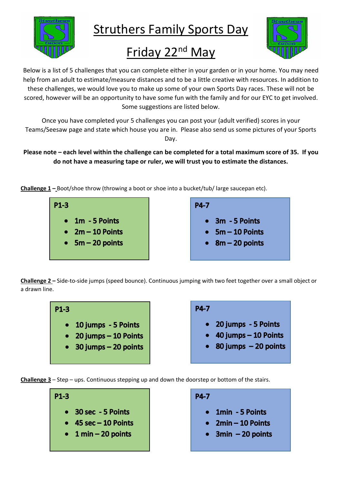

Struthers Family Sports Day

## Friday 22nd May



Below is a list of 5 challenges that you can complete either in your garden or in your home. You may need help from an adult to estimate/measure distances and to be a little creative with resources. In addition to these challenges, we would love you to make up some of your own Sports Day races. These will not be scored, however will be an opportunity to have some fun with the family and for our EYC to get involved. Some suggestions are listed below.

Once you have completed your 5 challenges you can post your (adult verified) scores in your Teams/Seesaw page and state which house you are in. Please also send us some pictures of your Sports Day.

## **Please note – each level within the challenge can be completed for a total maximum score of 35. If you do not have a measuring tape or ruler, we will trust you to estimate the distances.**

**Challenge 1 –** Boot/shoe throw (throwing a boot or shoe into a bucket/tub/ large saucepan etc).



**Challenge 2 –** Side-to-side jumps (speed bounce). Continuous jumping with two feet together over a small object or a drawn line.



**Challenge 3** – Step – ups. Continuous stepping up and down the doorstep or bottom of the stairs.